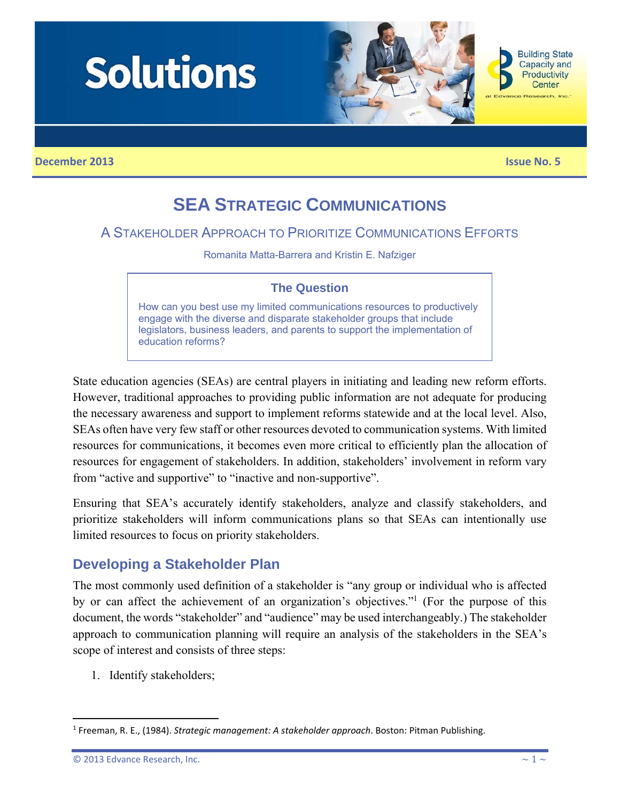

# **SEA STRATEGIC COMMUNICATIONS**

# A STAKEHOLDER APPROACH TO PRIORITIZE COMMUNICATIONS EFFORTS

Romanita Matta-Barrera and Kristin E. Nafziger

### **The Question**

How can you best use my limited communications resources to productively engage with the diverse and disparate stakeholder groups that include legislators, business leaders, and parents to support the implementation of education reforms?

State education agencies (SEAs) are central players in initiating and leading new reform efforts. However, traditional approaches to providing public information are not adequate for producing the necessary awareness and support to implement reforms statewide and at the local level. Also, SEAs often have very few staff or other resources devoted to communication systems. With limited resources for communications, it becomes even more critical to efficiently plan the allocation of resources for engagement of stakeholders. In addition, stakeholders' involvement in reform vary from "active and supportive" to "inactive and non-supportive".

Ensuring that SEA's accurately identify stakeholders, analyze and classify stakeholders, and prioritize stakeholders will inform communications plans so that SEAs can intentionally use limited resources to focus on priority stakeholders.

# **Developing a Stakeholder Plan**

The most commonly used definition of a stakeholder is "any group or individual who is affected by or can affect the achievement of an organization's objectives."<sup>1</sup> (For the purpose of this document, the words "stakeholder" and "audience" may be used interchangeably.) The stakeholder approach to communication planning will require an analysis of the stakeholders in the SEA's scope of interest and consists of three steps:

1. Identify stakeholders;

<sup>1</sup> Freeman, R. E., (1984). *Strategic management: A stakeholder approach*. Boston: Pitman Publishing.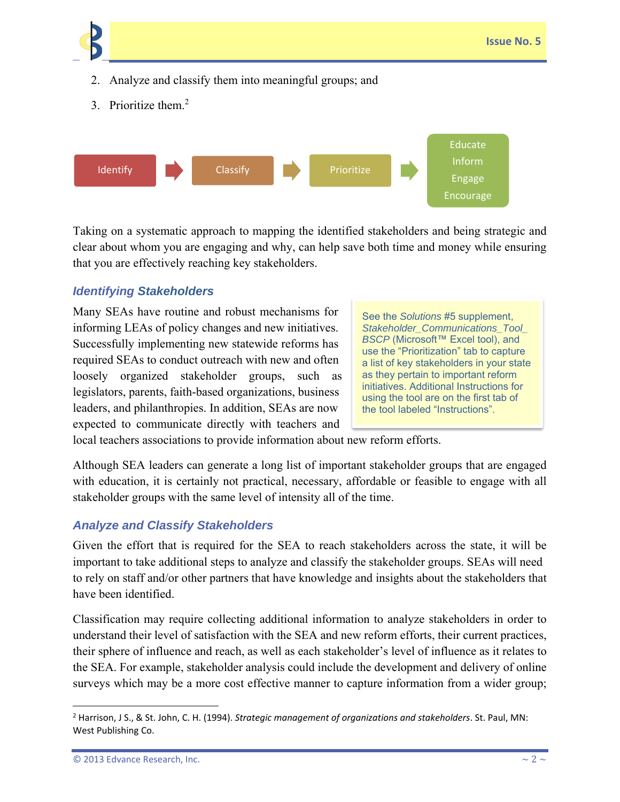

3. Prioritize them.<sup>2</sup>



Taking on a systematic approach to mapping the identified stakeholders and being strategic and clear about whom you are engaging and why, can help save both time and money while ensuring that you are effectively reaching key stakeholders.

#### *Identifying Stakeholders*

Many SEAs have routine and robust mechanisms for informing LEAs of policy changes and new initiatives. Successfully implementing new statewide reforms has required SEAs to conduct outreach with new and often loosely organized stakeholder groups, such as legislators, parents, faith-based organizations, business leaders, and philanthropies. In addition, SEAs are now expected to communicate directly with teachers and

See the *Solutions* #5 supplement, *Stakeholder\_Communications\_Tool\_ BSCP* (Microsoft™ Excel tool), and use the "Prioritization" tab to capture a list of key stakeholders in your state as they pertain to important reform initiatives. Additional Instructions for using the tool are on the first tab of the tool labeled "Instructions".

local teachers associations to provide information about new reform efforts.

Although SEA leaders can generate a long list of important stakeholder groups that are engaged with education, it is certainly not practical, necessary, affordable or feasible to engage with all stakeholder groups with the same level of intensity all of the time.

#### *Analyze and Classify Stakeholders*

Given the effort that is required for the SEA to reach stakeholders across the state, it will be important to take additional steps to analyze and classify the stakeholder groups. SEAs will need to rely on staff and/or other partners that have knowledge and insights about the stakeholders that have been identified.

Classification may require collecting additional information to analyze stakeholders in order to understand their level of satisfaction with the SEA and new reform efforts, their current practices, their sphere of influence and reach, as well as each stakeholder's level of influence as it relates to the SEA. For example, stakeholder analysis could include the development and delivery of online surveys which may be a more cost effective manner to capture information from a wider group;

<sup>2</sup> Harrison, J S., & St. John, C. H. (1994). *Strategic management of organizations and stakeholders*. St. Paul, MN: West Publishing Co.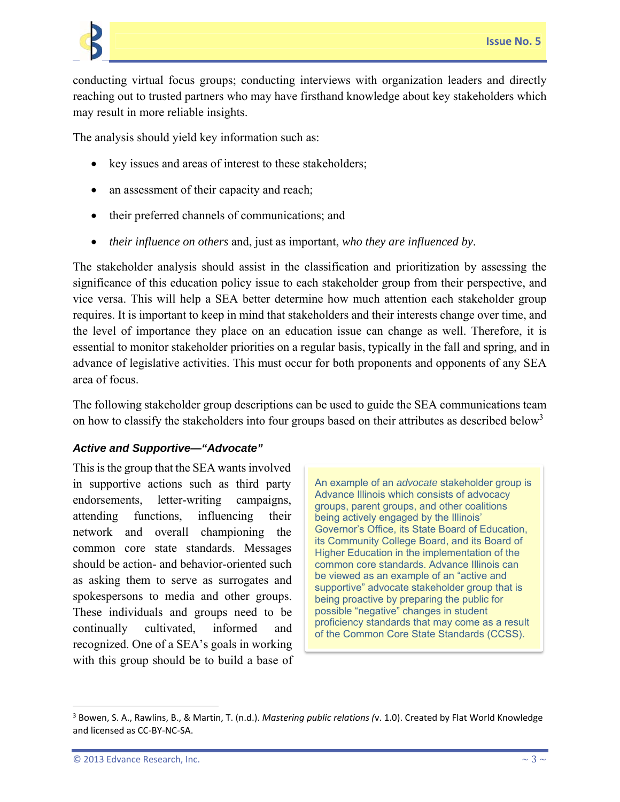

conducting virtual focus groups; conducting interviews with organization leaders and directly reaching out to trusted partners who may have firsthand knowledge about key stakeholders which may result in more reliable insights.

The analysis should yield key information such as:

- key issues and areas of interest to these stakeholders;
- an assessment of their capacity and reach;
- their preferred channels of communications; and
- *their influence on others* and, just as important, *who they are influenced by*.

The stakeholder analysis should assist in the classification and prioritization by assessing the significance of this education policy issue to each stakeholder group from their perspective, and vice versa. This will help a SEA better determine how much attention each stakeholder group requires. It is important to keep in mind that stakeholders and their interests change over time, and the level of importance they place on an education issue can change as well. Therefore, it is essential to monitor stakeholder priorities on a regular basis, typically in the fall and spring, and in advance of legislative activities. This must occur for both proponents and opponents of any SEA area of focus.

The following stakeholder group descriptions can be used to guide the SEA communications team on how to classify the stakeholders into four groups based on their attributes as described below<sup>3</sup>

#### *Active and Supportive—"Advocate"*

This is the group that the SEA wants involved in supportive actions such as third party endorsements, letter-writing campaigns, attending functions, influencing their network and overall championing the common core state standards. Messages should be action- and behavior-oriented such as asking them to serve as surrogates and spokespersons to media and other groups. These individuals and groups need to be continually cultivated, informed and recognized. One of a SEA's goals in working with this group should be to build a base of

An example of an *advocate* stakeholder group is Advance Illinois which consists of advocacy groups, parent groups, and other coalitions being actively engaged by the Illinois' Governor's Office, its State Board of Education, its Community College Board, and its Board of Higher Education in the implementation of the common core standards. Advance Illinois can be viewed as an example of an "active and supportive" advocate stakeholder group that is being proactive by preparing the public for possible "negative" changes in student proficiency standards that may come as a result of the Common Core State Standards (CCSS).

<sup>3</sup> Bowen, S. A., Rawlins, B., & Martin, T. (n.d.). *Mastering public relations (*v. 1.0). Created by Flat World Knowledge and licensed as CC‐BY‐NC‐SA.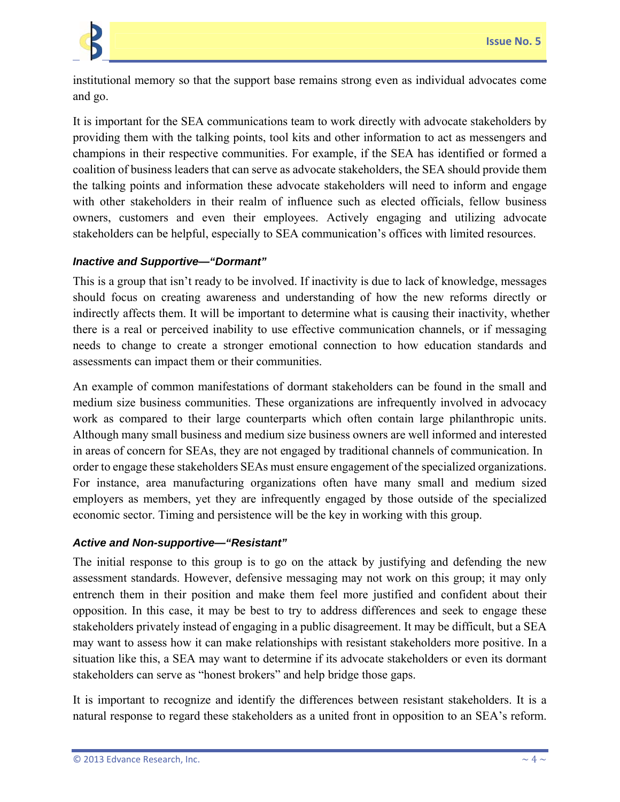

institutional memory so that the support base remains strong even as individual advocates come and go.

It is important for the SEA communications team to work directly with advocate stakeholders by providing them with the talking points, tool kits and other information to act as messengers and champions in their respective communities. For example, if the SEA has identified or formed a coalition of business leaders that can serve as advocate stakeholders, the SEA should provide them the talking points and information these advocate stakeholders will need to inform and engage with other stakeholders in their realm of influence such as elected officials, fellow business owners, customers and even their employees. Actively engaging and utilizing advocate stakeholders can be helpful, especially to SEA communication's offices with limited resources.

#### *Inactive and Supportive—"Dormant"*

This is a group that isn't ready to be involved. If inactivity is due to lack of knowledge, messages should focus on creating awareness and understanding of how the new reforms directly or indirectly affects them. It will be important to determine what is causing their inactivity, whether there is a real or perceived inability to use effective communication channels, or if messaging needs to change to create a stronger emotional connection to how education standards and assessments can impact them or their communities.

An example of common manifestations of dormant stakeholders can be found in the small and medium size business communities. These organizations are infrequently involved in advocacy work as compared to their large counterparts which often contain large philanthropic units. Although many small business and medium size business owners are well informed and interested in areas of concern for SEAs, they are not engaged by traditional channels of communication. In order to engage these stakeholders SEAs must ensure engagement of the specialized organizations. For instance, area manufacturing organizations often have many small and medium sized employers as members, yet they are infrequently engaged by those outside of the specialized economic sector. Timing and persistence will be the key in working with this group.

#### *Active and Non-supportive—"Resistant"*

The initial response to this group is to go on the attack by justifying and defending the new assessment standards. However, defensive messaging may not work on this group; it may only entrench them in their position and make them feel more justified and confident about their opposition. In this case, it may be best to try to address differences and seek to engage these stakeholders privately instead of engaging in a public disagreement. It may be difficult, but a SEA may want to assess how it can make relationships with resistant stakeholders more positive. In a situation like this, a SEA may want to determine if its advocate stakeholders or even its dormant stakeholders can serve as "honest brokers" and help bridge those gaps.

It is important to recognize and identify the differences between resistant stakeholders. It is a natural response to regard these stakeholders as a united front in opposition to an SEA's reform.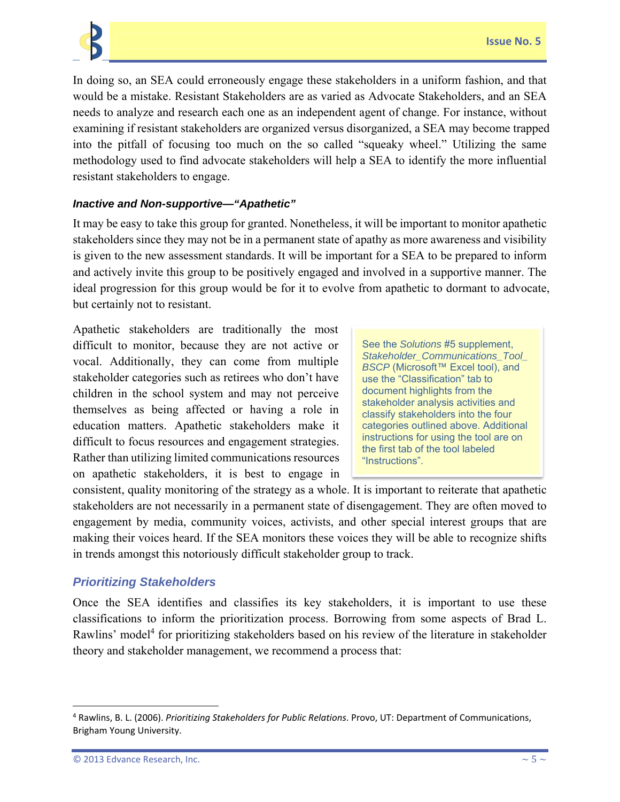

In doing so, an SEA could erroneously engage these stakeholders in a uniform fashion, and that would be a mistake. Resistant Stakeholders are as varied as Advocate Stakeholders, and an SEA needs to analyze and research each one as an independent agent of change. For instance, without examining if resistant stakeholders are organized versus disorganized, a SEA may become trapped into the pitfall of focusing too much on the so called "squeaky wheel." Utilizing the same methodology used to find advocate stakeholders will help a SEA to identify the more influential resistant stakeholders to engage.

#### *Inactive and Non-supportive—"Apathetic"*

It may be easy to take this group for granted. Nonetheless, it will be important to monitor apathetic stakeholders since they may not be in a permanent state of apathy as more awareness and visibility is given to the new assessment standards. It will be important for a SEA to be prepared to inform and actively invite this group to be positively engaged and involved in a supportive manner. The ideal progression for this group would be for it to evolve from apathetic to dormant to advocate, but certainly not to resistant.

Apathetic stakeholders are traditionally the most difficult to monitor, because they are not active or vocal. Additionally, they can come from multiple stakeholder categories such as retirees who don't have children in the school system and may not perceive themselves as being affected or having a role in education matters. Apathetic stakeholders make it difficult to focus resources and engagement strategies. Rather than utilizing limited communications resources on apathetic stakeholders, it is best to engage in

See the *Solutions* #5 supplement, *Stakeholder\_Communications\_Tool\_ BSCP* (Microsoft™ Excel tool), and use the "Classification" tab to document highlights from the stakeholder analysis activities and classify stakeholders into the four categories outlined above. Additional instructions for using the tool are on the first tab of the tool labeled "Instructions".

consistent, quality monitoring of the strategy as a whole. It is important to reiterate that apathetic stakeholders are not necessarily in a permanent state of disengagement. They are often moved to engagement by media, community voices, activists, and other special interest groups that are making their voices heard. If the SEA monitors these voices they will be able to recognize shifts in trends amongst this notoriously difficult stakeholder group to track.

#### *Prioritizing Stakeholders*

Once the SEA identifies and classifies its key stakeholders, it is important to use these classifications to inform the prioritization process. Borrowing from some aspects of Brad L. Rawlins' model<sup>4</sup> for prioritizing stakeholders based on his review of the literature in stakeholder theory and stakeholder management, we recommend a process that:

<sup>4</sup> Rawlins, B. L. (2006). *Prioritizing Stakeholders for Public Relations*. Provo, UT: Department of Communications, Brigham Young University.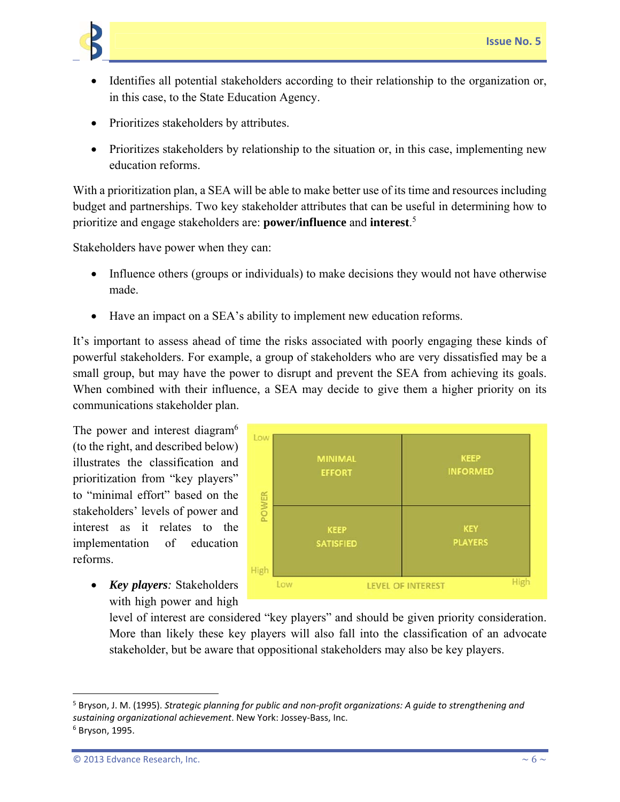

- Identifies all potential stakeholders according to their relationship to the organization or, in this case, to the State Education Agency.
- Prioritizes stakeholders by attributes.
- Prioritizes stakeholders by relationship to the situation or, in this case, implementing new education reforms.

With a prioritization plan, a SEA will be able to make better use of its time and resources including budget and partnerships. Two key stakeholder attributes that can be useful in determining how to prioritize and engage stakeholders are: **power/influence** and **interest**. 5

Stakeholders have power when they can:

- Influence others (groups or individuals) to make decisions they would not have otherwise made.
- Have an impact on a SEA's ability to implement new education reforms.

It's important to assess ahead of time the risks associated with poorly engaging these kinds of powerful stakeholders. For example, a group of stakeholders who are very dissatisfied may be a small group, but may have the power to disrupt and prevent the SEA from achieving its goals. When combined with their influence, a SEA may decide to give them a higher priority on its communications stakeholder plan.

The power and interest diagram<sup>6</sup> (to the right, and described below) illustrates the classification and prioritization from "key players" to "minimal effort" based on the stakeholders' levels of power and interest as it relates to the implementation of education reforms.

> *Key players:* Stakeholders with high power and high



level of interest are considered "key players" and should be given priority consideration. More than likely these key players will also fall into the classification of an advocate stakeholder, but be aware that oppositional stakeholders may also be key players.

<sup>5</sup> Bryson, J. M. (1995). *Strategic planning for public and non‐profit organizations: A guide to strengthening and sustaining organizational achievement*. New York: Jossey‐Bass, Inc. <sup>6</sup> Bryson, 1995.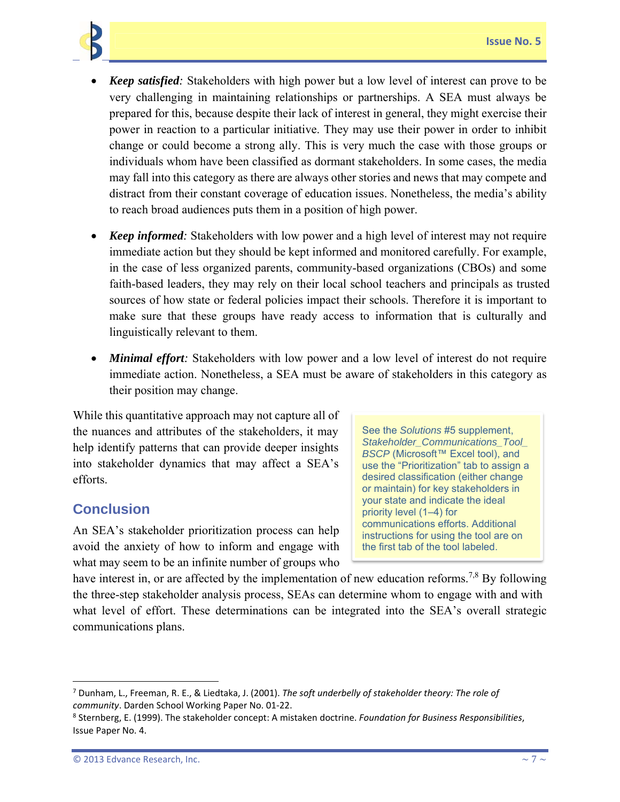

- *Keep satisfied:* Stakeholders with high power but a low level of interest can prove to be very challenging in maintaining relationships or partnerships. A SEA must always be prepared for this, because despite their lack of interest in general, they might exercise their power in reaction to a particular initiative. They may use their power in order to inhibit change or could become a strong ally. This is very much the case with those groups or individuals whom have been classified as dormant stakeholders. In some cases, the media may fall into this category as there are always other stories and news that may compete and distract from their constant coverage of education issues. Nonetheless, the media's ability to reach broad audiences puts them in a position of high power.
- *Keep informed:* Stakeholders with low power and a high level of interest may not require immediate action but they should be kept informed and monitored carefully. For example, in the case of less organized parents, community-based organizations (CBOs) and some faith-based leaders, they may rely on their local school teachers and principals as trusted sources of how state or federal policies impact their schools. Therefore it is important to make sure that these groups have ready access to information that is culturally and linguistically relevant to them.
- *Minimal effort:* Stakeholders with low power and a low level of interest do not require immediate action. Nonetheless, a SEA must be aware of stakeholders in this category as their position may change.

While this quantitative approach may not capture all of the nuances and attributes of the stakeholders, it may help identify patterns that can provide deeper insights into stakeholder dynamics that may affect a SEA's efforts.

# **Conclusion**

An SEA's stakeholder prioritization process can help avoid the anxiety of how to inform and engage with what may seem to be an infinite number of groups who

See the *Solutions* #5 supplement, *Stakeholder\_Communications\_Tool\_ BSCP* (Microsoft™ Excel tool), and use the "Prioritization" tab to assign a desired classification (either change or maintain) for key stakeholders in your state and indicate the ideal priority level (1–4) for communications efforts. Additional instructions for using the tool are on the first tab of the tool labeled.

have interest in, or are affected by the implementation of new education reforms.<sup>7,8</sup> By following the three-step stakeholder analysis process, SEAs can determine whom to engage with and with what level of effort. These determinations can be integrated into the SEA's overall strategic communications plans.

<sup>7</sup> Dunham, L., Freeman, R. E., & Liedtaka, J. (2001). *The soft underbelly of stakeholder theory: The role of community*. Darden School Working Paper No. 01‐22.

<sup>8</sup> Sternberg, E. (1999). The stakeholder concept: A mistaken doctrine. *Foundation for Business Responsibilities*, Issue Paper No. 4.